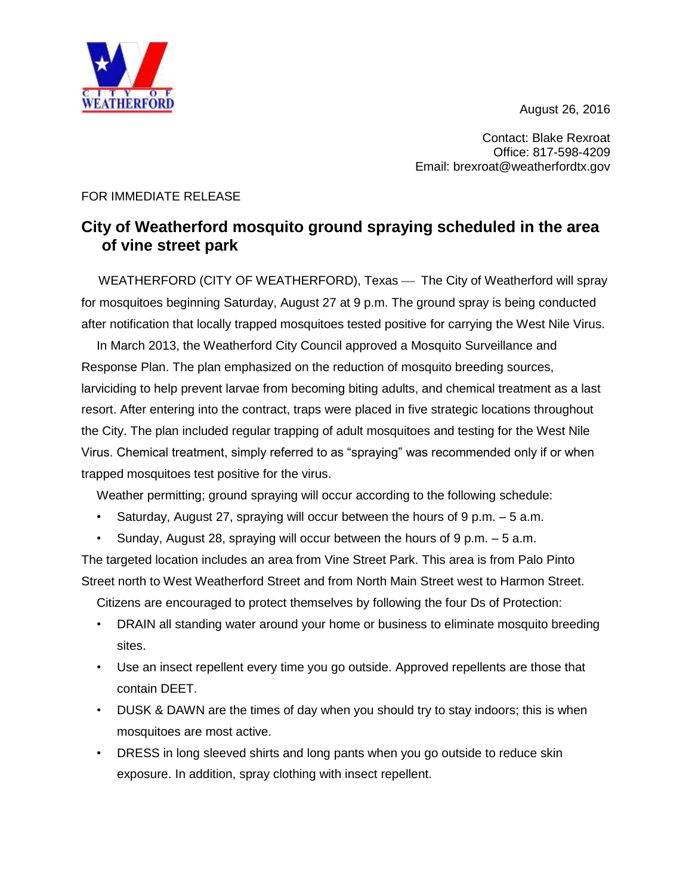August 26, 2016



Contact: Blake Rexroat Office: 817-598-4209 Email: brexroat@weatherfordtx.gov

## FOR IMMEDIATE RELEASE

## **City of Weatherford mosquito ground spraying scheduled in the area of vine street park**

WEATHERFORD (CITY OF WEATHERFORD), Texas — The City of Weatherford will spray for mosquitoes beginning Saturday, August 27 at 9 p.m. The ground spray is being conducted after notification that locally trapped mosquitoes tested positive for carrying the West Nile Virus.

In March 2013, the Weatherford City Council approved a Mosquito Surveillance and Response Plan. The plan emphasized on the reduction of mosquito breeding sources, larviciding to help prevent larvae from becoming biting adults, and chemical treatment as a last resort. After entering into the contract, traps were placed in five strategic locations throughout the City. The plan included regular trapping of adult mosquitoes and testing for the West Nile Virus. Chemical treatment, simply referred to as "spraying" was recommended only if or when trapped mosquitoes test positive for the virus.

Weather permitting; ground spraying will occur according to the following schedule:

- Saturday, August 27, spraying will occur between the hours of  $9 \text{ p.m.} 5 \text{ a.m.}$
- Sunday, August 28, spraying will occur between the hours of  $9 \text{ p.m.} 5 \text{ a.m.}$

The targeted location includes an area from Vine Street Park. This area is from Palo Pinto Street north to West Weatherford Street and from North Main Street west to Harmon Street.

Citizens are encouraged to protect themselves by following the four Ds of Protection:

- DRAIN all standing water around your home or business to eliminate mosquito breeding sites.
- Use an insect repellent every time you go outside. Approved repellents are those that contain DEET.
- DUSK & DAWN are the times of day when you should try to stay indoors; this is when mosquitoes are most active.
- DRESS in long sleeved shirts and long pants when you go outside to reduce skin exposure. In addition, spray clothing with insect repellent.